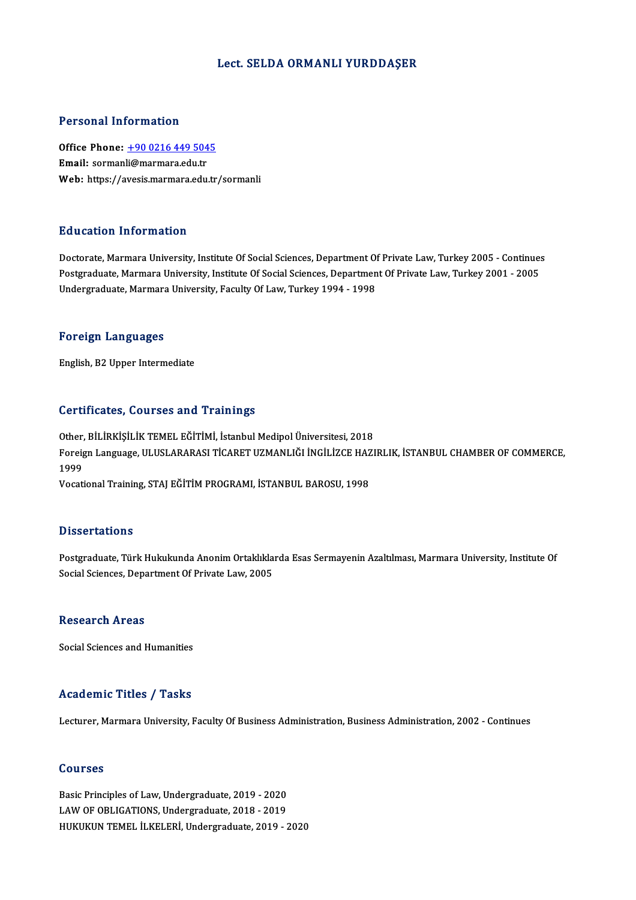#### Lect. SELDA ORMANLI YURDDAŞER

#### Personal Information

Personal Information<br>Office Phone: <u>+90 0216 449 5045</u><br>Email: cormanli@marmara.edu.tr Processian information<br>Office Phone: <u>+90 0216 449 504</u><br>Email: sorman[li@marmara.edu.tr](tel:+90 0216 449 5045) Email: sormanli@marmara.edu.tr<br>Web: https://avesis.marmara.edu.tr/sormanli

### Education Information

Doctorate, Marmara University, Institute Of Social Sciences, Department Of Private Law, Turkey 2005 - Continues Pu d'outron Throt Inderon<br>Doctorate, Marmara University, Institute Of Social Sciences, Department Of Private Law, Turkey 2005 - Continue<br>Undergraduate, Marmara University, Institute Of Social Sciences, Department Of Privat Doctorate, Marmara University, Institute Of Social Sciences, Department Of<br>Postgraduate, Marmara University, Institute Of Social Sciences, Departmen<br>Undergraduate, Marmara University, Faculty Of Law, Turkey 1994 - 1998 Undergraduate, Marmara University, Faculty Of Law, Turkey 1994 - 1998<br>Foreign Languages

English,B2Upper Intermediate

### Certificates, Courses and Trainings

Certificates, Courses and Trainings<br>Other, BİLİRKİŞİLİK TEMEL EĞİTİMİ, İstanbul Medipol Üniversitesi, 2018<br>Fereign Language JILUSLARARASI TİCARET UZMANLIĞI İNCİLİZCE HAZI Foreign Language, ULUSLARARASI TİCARET UZMANLIĞI İNGİLİZCE HAZIRLIK, İSTANBUL CHAMBER OF COMMERCE,<br>1999 Other,<br>Foreig<br>1999<br>Vocati Vocational Training, STAJ EĞİTİM PROGRAMI, İSTANBUL BAROSU, 1998

#### **Dissertations**

Postgraduate, Türk Hukukunda Anonim Ortaklıklarda Esas Sermayenin Azaltılması, Marmara University, Institute Of Social Sciences, Department Of Private Law, 2005

#### **Research Areas**

Social Sciences and Humanities

#### Academic Titles / Tasks

Lecturer, Marmara University, Faculty Of Business Administration, Business Administration, 2002 - Continues

#### Courses

Courses<br>Basic Principles of Law, Undergraduate, 2019 - 2020<br>LAW OF ORLICATIONS, Undergraduate, 2019 - 2019 **Basic Principles of Law, Undergraduate, 2019 - 2020<br>LAW OF OBLIGATIONS, Undergraduate, 2018 - 2019<br>HUKUKIN TEMEL ILKELERL Undergraduate, 2019** LAW OF OBLIGATIONS, Undergraduate, 2018 - 2019<br>HUKUKUN TEMEL İLKELERİ, Undergraduate, 2019 - 2020